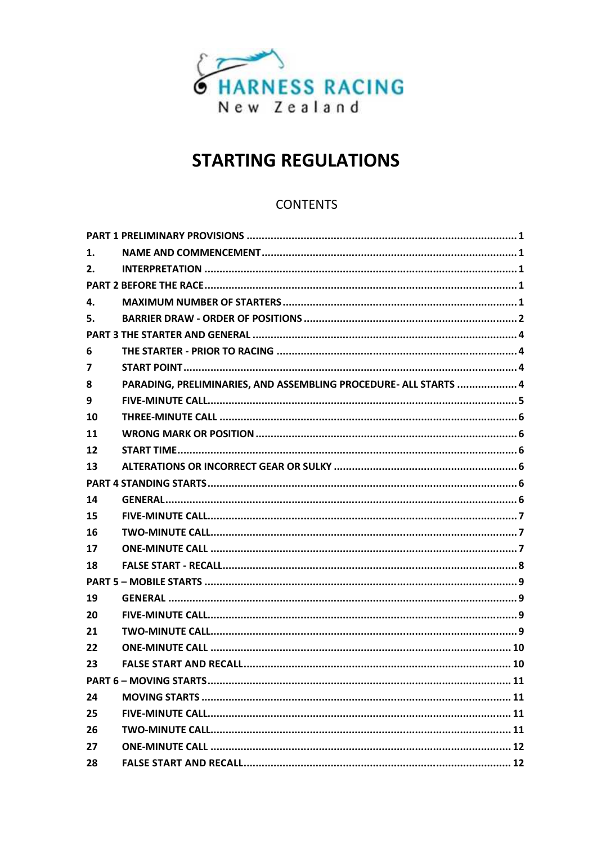

# **STARTING REGULATIONS**

# **CONTENTS**

| 1.             |                                                                  |  |
|----------------|------------------------------------------------------------------|--|
| 2.             |                                                                  |  |
|                |                                                                  |  |
| 4.             |                                                                  |  |
| 5.             |                                                                  |  |
|                |                                                                  |  |
| 6              |                                                                  |  |
| $\overline{7}$ |                                                                  |  |
| 8              | PARADING, PRELIMINARIES, AND ASSEMBLING PROCEDURE- ALL STARTS  4 |  |
| 9              |                                                                  |  |
| 10             |                                                                  |  |
| 11             |                                                                  |  |
| 12             |                                                                  |  |
| 13             |                                                                  |  |
|                |                                                                  |  |
| 14             |                                                                  |  |
| 15             |                                                                  |  |
| 16             |                                                                  |  |
| 17             |                                                                  |  |
| 18             |                                                                  |  |
|                |                                                                  |  |
| 19             |                                                                  |  |
| 20             |                                                                  |  |
| 21             |                                                                  |  |
| 22             |                                                                  |  |
| 23             |                                                                  |  |
|                |                                                                  |  |
| 24             |                                                                  |  |
| 25             |                                                                  |  |
| 26             |                                                                  |  |
| 27             |                                                                  |  |
| 28             |                                                                  |  |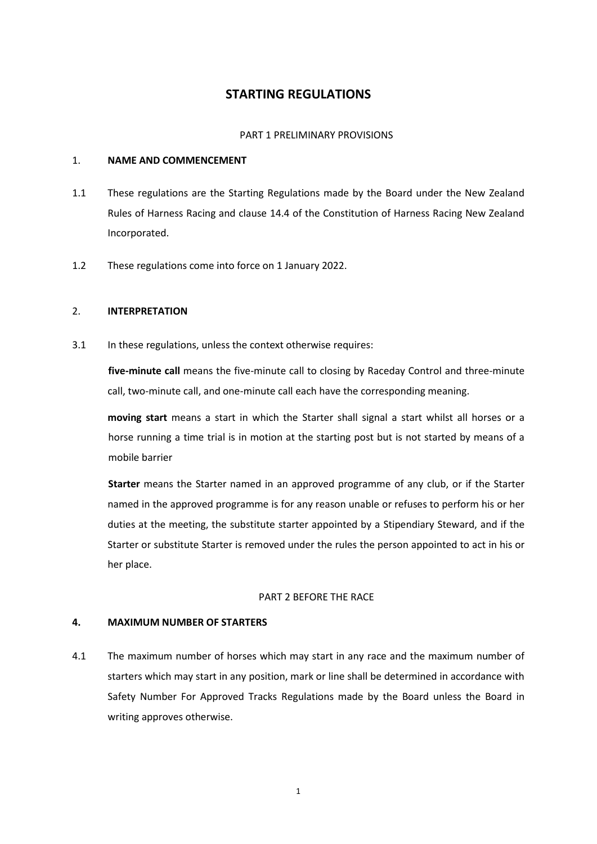# **STARTING REGULATIONS**

#### PART 1 PRELIMINARY PROVISIONS

#### 1. **NAME AND COMMENCEMENT**

- 1.1 These regulations are the Starting Regulations made by the Board under the New Zealand Rules of Harness Racing and clause 14.4 of the Constitution of Harness Racing New Zealand Incorporated.
- 1.2 These regulations come into force on 1 January 2022.

## 2. **INTERPRETATION**

3.1 In these regulations, unless the context otherwise requires:

**five-minute call** means the five-minute call to closing by Raceday Control and three-minute call, two-minute call, and one-minute call each have the corresponding meaning.

**moving start** means a start in which the Starter shall signal a start whilst all horses or a horse running a time trial is in motion at the starting post but is not started by means of a mobile barrier

**Starter** means the Starter named in an approved programme of any club, or if the Starter named in the approved programme is for any reason unable or refuses to perform his or her duties at the meeting, the substitute starter appointed by a Stipendiary Steward, and if the Starter or substitute Starter is removed under the rules the person appointed to act in his or her place.

## PART 2 BEFORE THE RACE

# **4. MAXIMUM NUMBER OF STARTERS**

4.1 The maximum number of horses which may start in any race and the maximum number of starters which may start in any position, mark or line shall be determined in accordance with Safety Number For Approved Tracks Regulations made by the Board unless the Board in writing approves otherwise.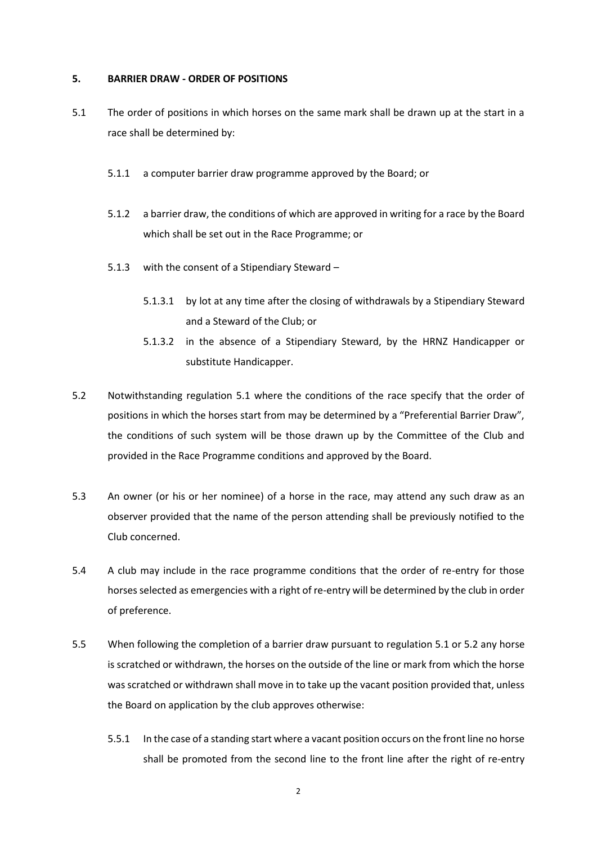#### **5. BARRIER DRAW - ORDER OF POSITIONS**

- 5.1 The order of positions in which horses on the same mark shall be drawn up at the start in a race shall be determined by:
	- 5.1.1 a computer barrier draw programme approved by the Board; or
	- 5.1.2 a barrier draw, the conditions of which are approved in writing for a race by the Board which shall be set out in the Race Programme; or
	- 5.1.3 with the consent of a Stipendiary Steward
		- 5.1.3.1 by lot at any time after the closing of withdrawals by a Stipendiary Steward and a Steward of the Club; or
		- 5.1.3.2 in the absence of a Stipendiary Steward, by the HRNZ Handicapper or substitute Handicapper.
- 5.2 Notwithstanding regulation 5.1 where the conditions of the race specify that the order of positions in which the horses start from may be determined by a "Preferential Barrier Draw", the conditions of such system will be those drawn up by the Committee of the Club and provided in the Race Programme conditions and approved by the Board.
- 5.3 An owner (or his or her nominee) of a horse in the race, may attend any such draw as an observer provided that the name of the person attending shall be previously notified to the Club concerned.
- 5.4 A club may include in the race programme conditions that the order of re-entry for those horses selected as emergencies with a right of re-entry will be determined by the club in order of preference.
- 5.5 When following the completion of a barrier draw pursuant to regulation 5.1 or 5.2 any horse is scratched or withdrawn, the horses on the outside of the line or mark from which the horse was scratched or withdrawn shall move in to take up the vacant position provided that, unless the Board on application by the club approves otherwise:
	- 5.5.1 In the case of a standing start where a vacant position occurs on the front line no horse shall be promoted from the second line to the front line after the right of re-entry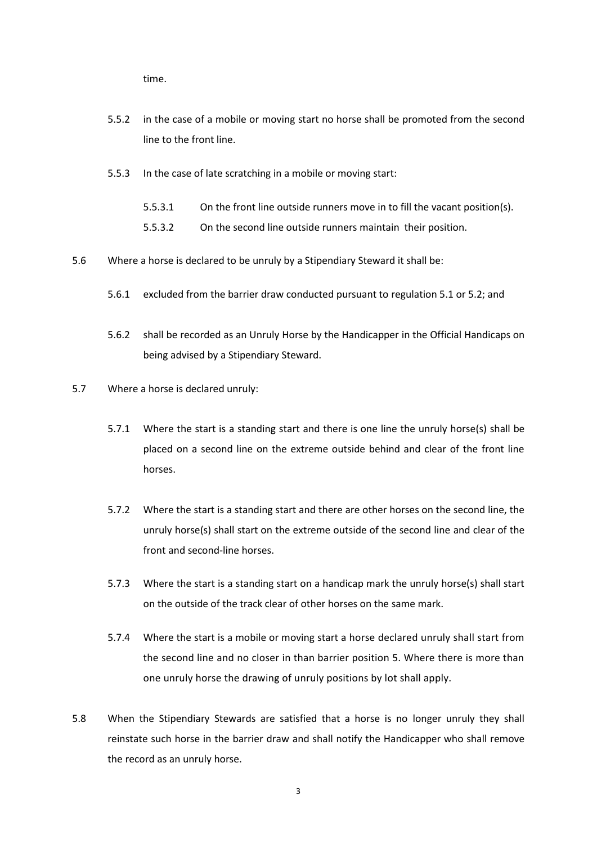time.

- 5.5.2 in the case of a mobile or moving start no horse shall be promoted from the second line to the front line.
- 5.5.3 In the case of late scratching in a mobile or moving start:
	- 5.5.3.1 On the front line outside runners move in to fill the vacant position(s).
	- 5.5.3.2 On the second line outside runners maintain their position.
- 5.6 Where a horse is declared to be unruly by a Stipendiary Steward it shall be:
	- 5.6.1 excluded from the barrier draw conducted pursuant to regulation 5.1 or 5.2; and
	- 5.6.2 shall be recorded as an Unruly Horse by the Handicapper in the Official Handicaps on being advised by a Stipendiary Steward.
- 5.7 Where a horse is declared unruly:
	- 5.7.1 Where the start is a standing start and there is one line the unruly horse(s) shall be placed on a second line on the extreme outside behind and clear of the front line horses.
	- 5.7.2 Where the start is a standing start and there are other horses on the second line, the unruly horse(s) shall start on the extreme outside of the second line and clear of the front and second-line horses.
	- 5.7.3 Where the start is a standing start on a handicap mark the unruly horse(s) shall start on the outside of the track clear of other horses on the same mark.
	- 5.7.4 Where the start is a mobile or moving start a horse declared unruly shall start from the second line and no closer in than barrier position 5. Where there is more than one unruly horse the drawing of unruly positions by lot shall apply.
- 5.8 When the Stipendiary Stewards are satisfied that a horse is no longer unruly they shall reinstate such horse in the barrier draw and shall notify the Handicapper who shall remove the record as an unruly horse.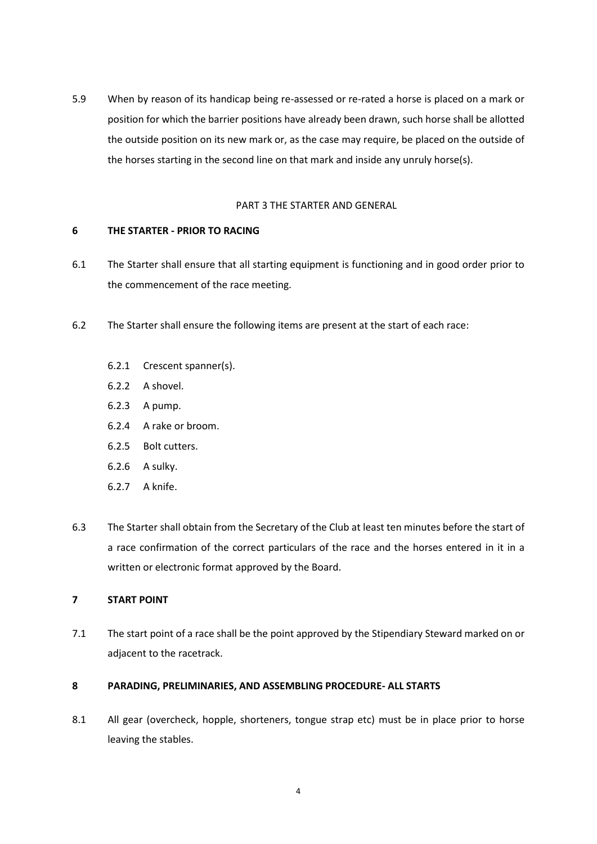5.9 When by reason of its handicap being re-assessed or re-rated a horse is placed on a mark or position for which the barrier positions have already been drawn, such horse shall be allotted the outside position on its new mark or, as the case may require, be placed on the outside of the horses starting in the second line on that mark and inside any unruly horse(s).

#### PART 3 THE STARTER AND GENERAL

## **6 THE STARTER - PRIOR TO RACING**

- 6.1 The Starter shall ensure that all starting equipment is functioning and in good order prior to the commencement of the race meeting.
- 6.2 The Starter shall ensure the following items are present at the start of each race:
	- 6.2.1 Crescent spanner(s).
	- 6.2.2 A shovel.
	- 6.2.3 A pump.
	- 6.2.4 A rake or broom.
	- 6.2.5 Bolt cutters.
	- 6.2.6 A sulky.
	- 6.2.7 A knife.
- 6.3 The Starter shall obtain from the Secretary of the Club at least ten minutes before the start of a race confirmation of the correct particulars of the race and the horses entered in it in a written or electronic format approved by the Board.

# **7 START POINT**

7.1 The start point of a race shall be the point approved by the Stipendiary Steward marked on or adjacent to the racetrack.

# **8 PARADING, PRELIMINARIES, AND ASSEMBLING PROCEDURE- ALL STARTS**

8.1 All gear (overcheck, hopple, shorteners, tongue strap etc) must be in place prior to horse leaving the stables.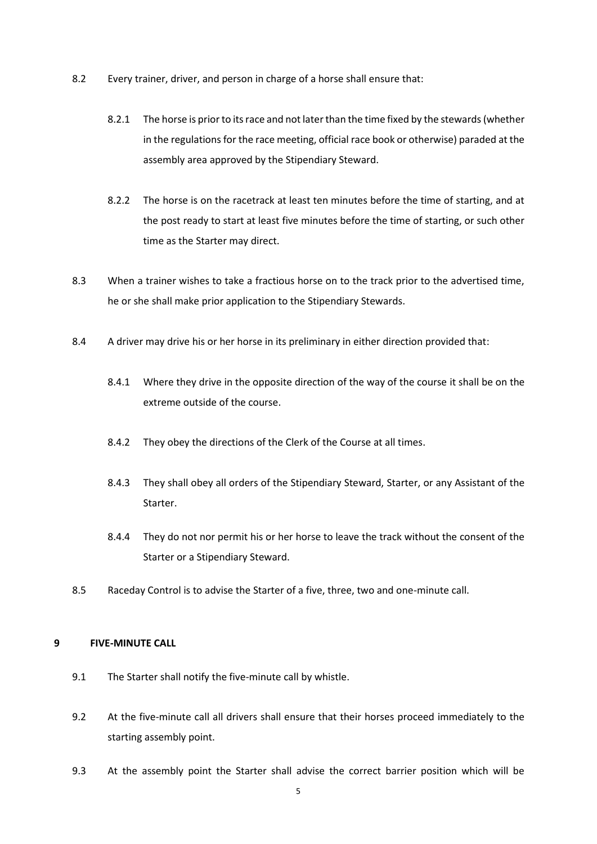- 8.2 Every trainer, driver, and person in charge of a horse shall ensure that:
	- 8.2.1 The horse is prior to its race and not later than the time fixed by the stewards (whether in the regulations for the race meeting, official race book or otherwise) paraded at the assembly area approved by the Stipendiary Steward.
	- 8.2.2 The horse is on the racetrack at least ten minutes before the time of starting, and at the post ready to start at least five minutes before the time of starting, or such other time as the Starter may direct.
- 8.3 When a trainer wishes to take a fractious horse on to the track prior to the advertised time, he or she shall make prior application to the Stipendiary Stewards.
- 8.4 A driver may drive his or her horse in its preliminary in either direction provided that:
	- 8.4.1 Where they drive in the opposite direction of the way of the course it shall be on the extreme outside of the course.
	- 8.4.2 They obey the directions of the Clerk of the Course at all times.
	- 8.4.3 They shall obey all orders of the Stipendiary Steward, Starter, or any Assistant of the Starter.
	- 8.4.4 They do not nor permit his or her horse to leave the track without the consent of the Starter or a Stipendiary Steward.
- 8.5 Raceday Control is to advise the Starter of a five, three, two and one-minute call.

## **9 FIVE-MINUTE CALL**

- 9.1 The Starter shall notify the five-minute call by whistle.
- 9.2 At the five-minute call all drivers shall ensure that their horses proceed immediately to the starting assembly point.
- 9.3 At the assembly point the Starter shall advise the correct barrier position which will be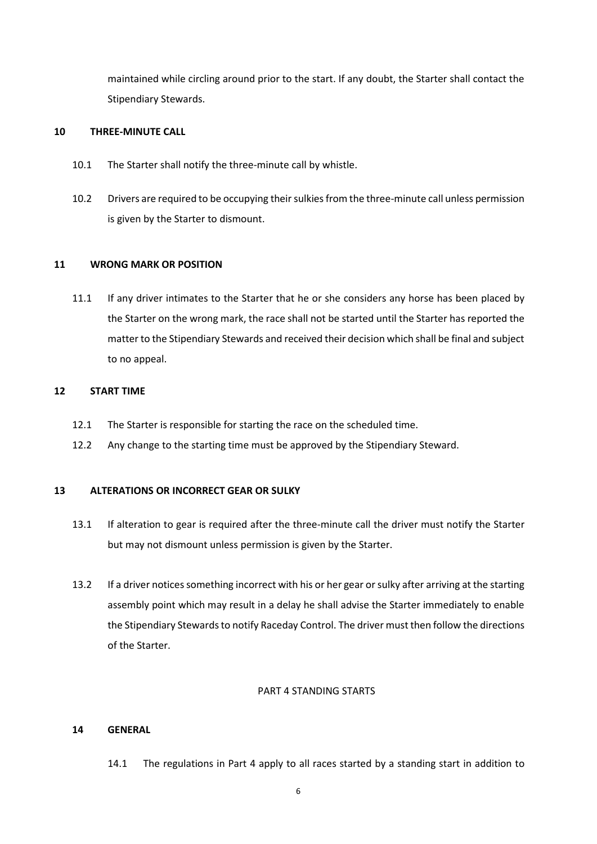maintained while circling around prior to the start. If any doubt, the Starter shall contact the Stipendiary Stewards.

#### **10 THREE-MINUTE CALL**

- 10.1 The Starter shall notify the three-minute call by whistle.
- 10.2 Drivers are required to be occupying their sulkies from the three-minute call unless permission is given by the Starter to dismount.

## **11 WRONG MARK OR POSITION**

11.1 If any driver intimates to the Starter that he or she considers any horse has been placed by the Starter on the wrong mark, the race shall not be started until the Starter has reported the matter to the Stipendiary Stewards and received their decision which shall be final and subject to no appeal.

#### **12 START TIME**

- 12.1 The Starter is responsible for starting the race on the scheduled time.
- 12.2 Any change to the starting time must be approved by the Stipendiary Steward.

### **13 ALTERATIONS OR INCORRECT GEAR OR SULKY**

- 13.1 If alteration to gear is required after the three-minute call the driver must notify the Starter but may not dismount unless permission is given by the Starter.
- 13.2 If a driver notices something incorrect with his or her gear or sulky after arriving at the starting assembly point which may result in a delay he shall advise the Starter immediately to enable the Stipendiary Stewards to notify Raceday Control. The driver must then follow the directions of the Starter.

#### PART 4 STANDING STARTS

## **14 GENERAL**

14.1 The regulations in Part 4 apply to all races started by a standing start in addition to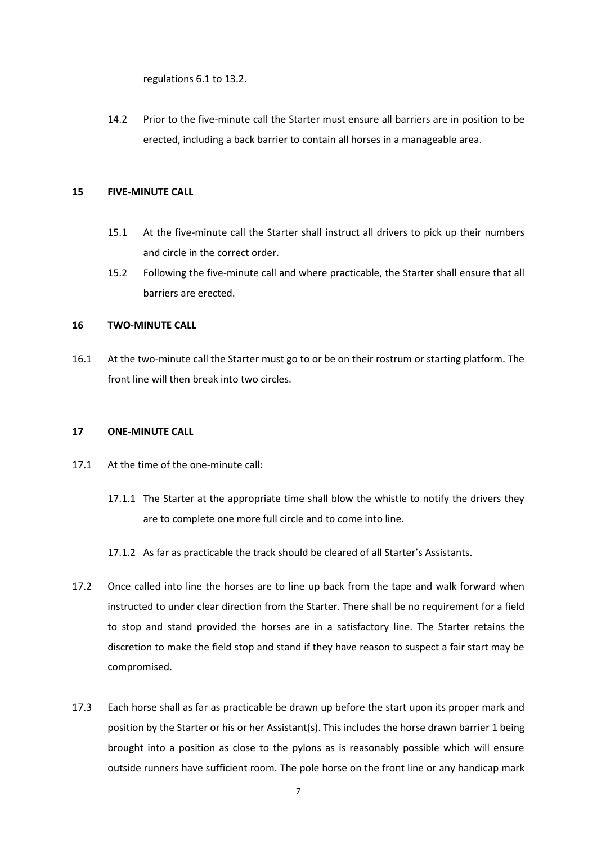regulations 6.1 to 13.2.

14.2 Prior to the five-minute call the Starter must ensure all barriers are in position to be erected, including a back barrier to contain all horses in a manageable area.

## **15 FIVE-MINUTE CALL**

- 15.1 At the five-minute call the Starter shall instruct all drivers to pick up their numbers and circle in the correct order.
- 15.2 Following the five-minute call and where practicable, the Starter shall ensure that all barriers are erected.

# **16 TWO-MINUTE CALL**

16.1 At the two-minute call the Starter must go to or be on their rostrum or starting platform. The front line will then break into two circles.

#### **17 ONE-MINUTE CALL**

- 17.1 At the time of the one-minute call:
	- 17.1.1 The Starter at the appropriate time shall blow the whistle to notify the drivers they are to complete one more full circle and to come into line.
	- 17.1.2 As far as practicable the track should be cleared of all Starter's Assistants.
- 17.2 Once called into line the horses are to line up back from the tape and walk forward when instructed to under clear direction from the Starter. There shall be no requirement for a field to stop and stand provided the horses are in a satisfactory line. The Starter retains the discretion to make the field stop and stand if they have reason to suspect a fair start may be compromised.
- 17.3 Each horse shall as far as practicable be drawn up before the start upon its proper mark and position by the Starter or his or her Assistant(s). This includes the horse drawn barrier 1 being brought into a position as close to the pylons as is reasonably possible which will ensure outside runners have sufficient room. The pole horse on the front line or any handicap mark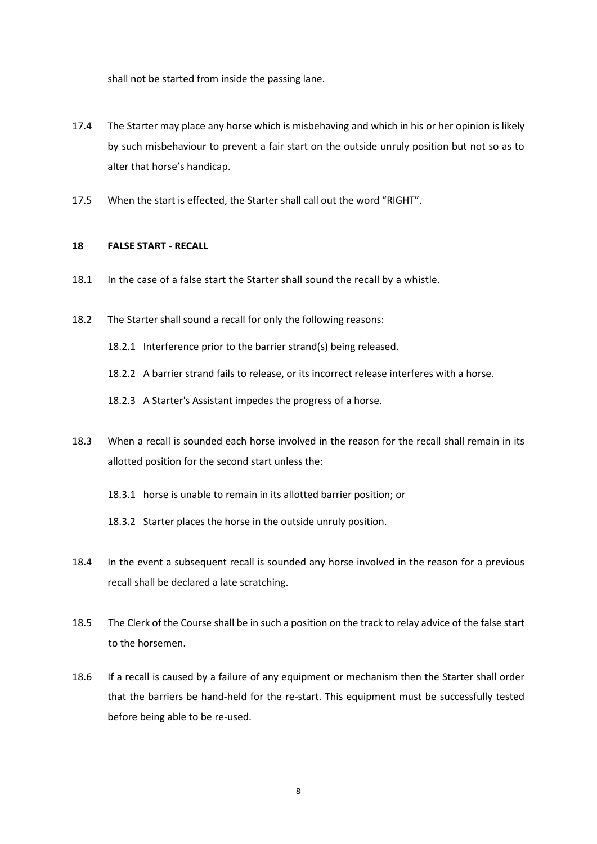shall not be started from inside the passing lane.

- 17.4 The Starter may place any horse which is misbehaving and which in his or her opinion is likely by such misbehaviour to prevent a fair start on the outside unruly position but not so as to alter that horse's handicap.
- 17.5 When the start is effected, the Starter shall call out the word "RIGHT".

## **18 FALSE START - RECALL**

- 18.1 In the case of a false start the Starter shall sound the recall by a whistle.
- 18.2 The Starter shall sound a recall for only the following reasons:
	- 18.2.1 Interference prior to the barrier strand(s) being released.
	- 18.2.2 A barrier strand fails to release, or its incorrect release interferes with a horse.
	- 18.2.3 A Starter's Assistant impedes the progress of a horse.
- 18.3 When a recall is sounded each horse involved in the reason for the recall shall remain in its allotted position for the second start unless the:
	- 18.3.1 horse is unable to remain in its allotted barrier position; or
	- 18.3.2 Starter places the horse in the outside unruly position.
- 18.4 In the event a subsequent recall is sounded any horse involved in the reason for a previous recall shall be declared a late scratching.
- 18.5 The Clerk of the Course shall be in such a position on the track to relay advice of the false start to the horsemen.
- 18.6 If a recall is caused by a failure of any equipment or mechanism then the Starter shall order that the barriers be hand-held for the re-start. This equipment must be successfully tested before being able to be re-used.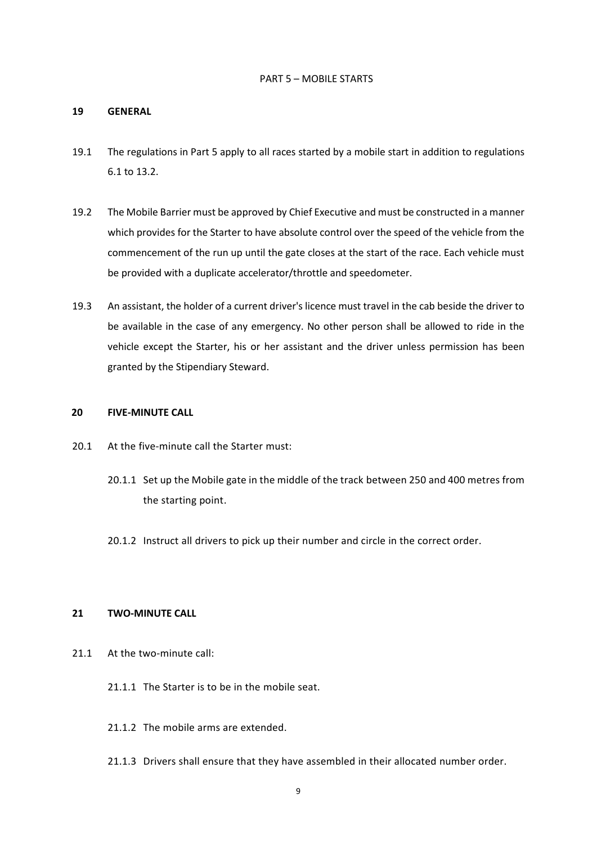#### PART 5 – MOBILE STARTS

#### **19 GENERAL**

- 19.1 The regulations in Part 5 apply to all races started by a mobile start in addition to regulations 6.1 to 13.2.
- 19.2 The Mobile Barrier must be approved by Chief Executive and must be constructed in a manner which provides for the Starter to have absolute control over the speed of the vehicle from the commencement of the run up until the gate closes at the start of the race. Each vehicle must be provided with a duplicate accelerator/throttle and speedometer.
- 19.3 An assistant, the holder of a current driver's licence must travel in the cab beside the driver to be available in the case of any emergency. No other person shall be allowed to ride in the vehicle except the Starter, his or her assistant and the driver unless permission has been granted by the Stipendiary Steward.

# **20 FIVE-MINUTE CALL**

- 20.1 At the five-minute call the Starter must:
	- 20.1.1 Set up the Mobile gate in the middle of the track between 250 and 400 metres from the starting point.
	- 20.1.2 Instruct all drivers to pick up their number and circle in the correct order.

#### **21 TWO-MINUTE CALL**

- 21.1 At the two-minute call:
	- 21.1.1 The Starter is to be in the mobile seat.
	- 21.1.2 The mobile arms are extended.
	- 21.1.3 Drivers shall ensure that they have assembled in their allocated number order.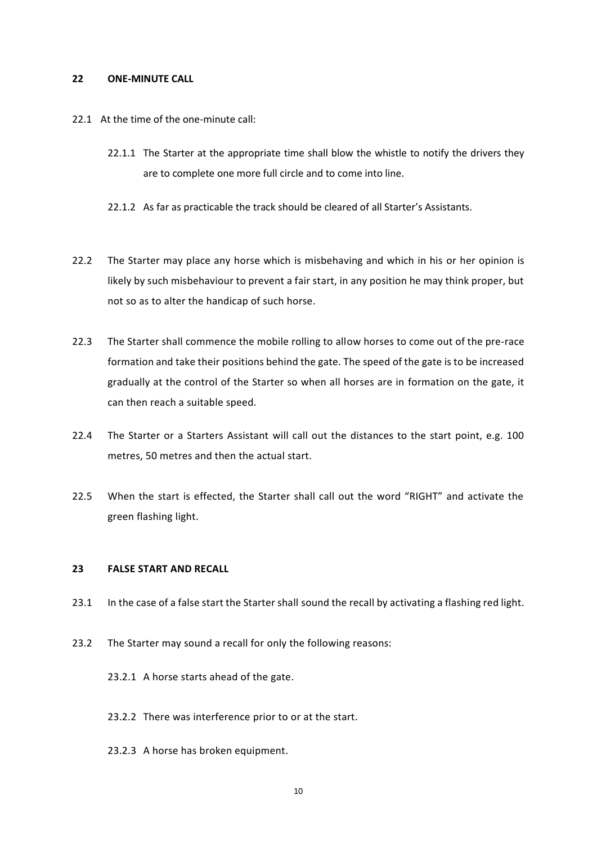#### **22 ONE-MINUTE CALL**

- 22.1 At the time of the one-minute call:
	- 22.1.1 The Starter at the appropriate time shall blow the whistle to notify the drivers they are to complete one more full circle and to come into line.
	- 22.1.2 As far as practicable the track should be cleared of all Starter's Assistants.
- 22.2 The Starter may place any horse which is misbehaving and which in his or her opinion is likely by such misbehaviour to prevent a fair start, in any position he may think proper, but not so as to alter the handicap of such horse.
- 22.3 The Starter shall commence the mobile rolling to allow horses to come out of the pre-race formation and take their positions behind the gate. The speed of the gate is to be increased gradually at the control of the Starter so when all horses are in formation on the gate, it can then reach a suitable speed.
- 22.4 The Starter or a Starters Assistant will call out the distances to the start point, e.g. 100 metres, 50 metres and then the actual start.
- 22.5 When the start is effected, the Starter shall call out the word "RIGHT" and activate the green flashing light.

## **23 FALSE START AND RECALL**

- 23.1 In the case of a false start the Starter shall sound the recall by activating a flashing red light.
- 23.2 The Starter may sound a recall for only the following reasons:
	- 23.2.1 A horse starts ahead of the gate.
	- 23.2.2 There was interference prior to or at the start.
	- 23.2.3 A horse has broken equipment.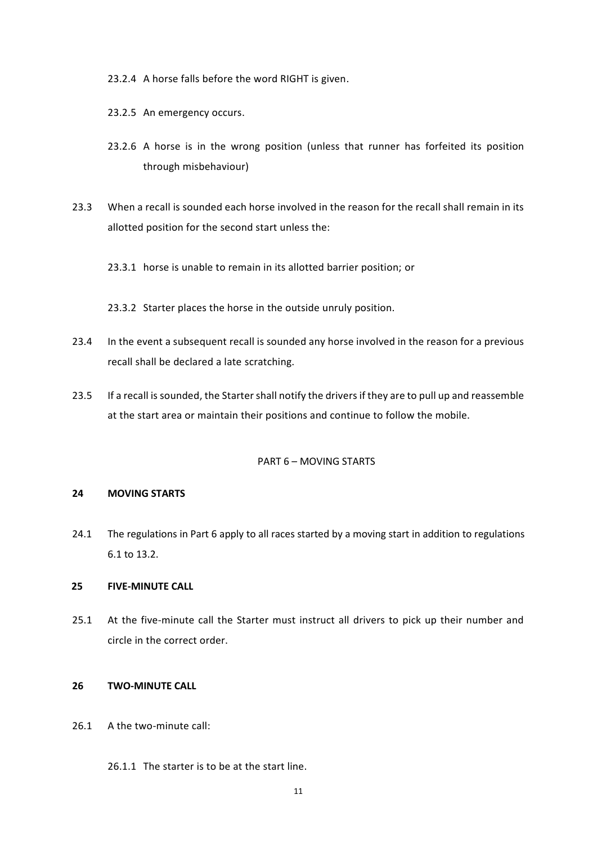23.2.4 A horse falls before the word RIGHT is given.

- 23.2.5 An emergency occurs.
- 23.2.6 A horse is in the wrong position (unless that runner has forfeited its position through misbehaviour)
- 23.3 When a recall is sounded each horse involved in the reason for the recall shall remain in its allotted position for the second start unless the:
	- 23.3.1 horse is unable to remain in its allotted barrier position; or
	- 23.3.2 Starter places the horse in the outside unruly position.
- 23.4 In the event a subsequent recall is sounded any horse involved in the reason for a previous recall shall be declared a late scratching.
- 23.5 If a recall is sounded, the Starter shall notify the drivers if they are to pull up and reassemble at the start area or maintain their positions and continue to follow the mobile.

#### PART 6 – MOVING STARTS

#### **24 MOVING STARTS**

24.1 The regulations in Part 6 apply to all races started by a moving start in addition to regulations 6.1 to 13.2.

# **25 FIVE-MINUTE CALL**

25.1 At the five-minute call the Starter must instruct all drivers to pick up their number and circle in the correct order.

# **26 TWO-MINUTE CALL**

- 26.1 A the two-minute call:
	- 26.1.1 The starter is to be at the start line.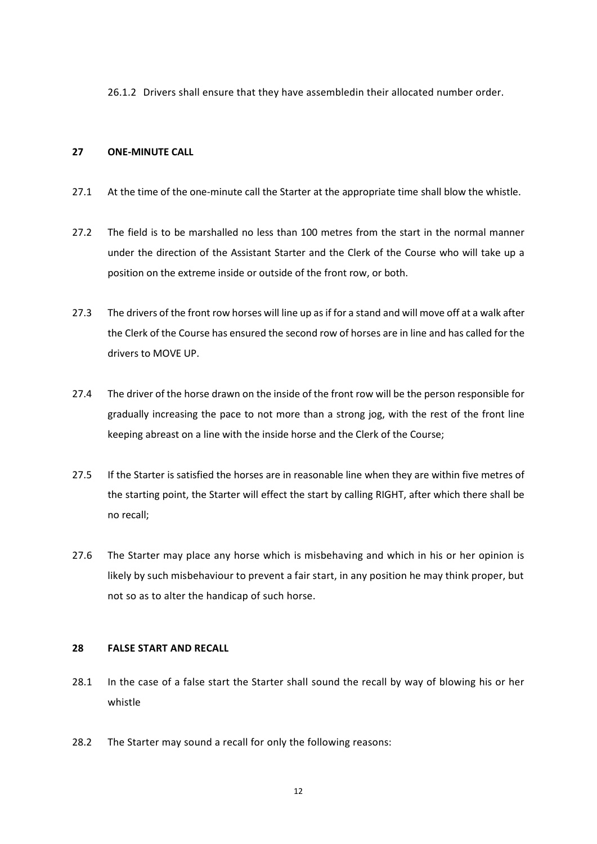26.1.2 Drivers shall ensure that they have assembledin their allocated number order.

#### **27 ONE-MINUTE CALL**

- 27.1 At the time of the one-minute call the Starter at the appropriate time shall blow the whistle.
- 27.2 The field is to be marshalled no less than 100 metres from the start in the normal manner under the direction of the Assistant Starter and the Clerk of the Course who will take up a position on the extreme inside or outside of the front row, or both.
- 27.3 The drivers of the front row horses will line up as if for a stand and will move off at a walk after the Clerk of the Course has ensured the second row of horses are in line and has called for the drivers to MOVE UP.
- 27.4 The driver of the horse drawn on the inside of the front row will be the person responsible for gradually increasing the pace to not more than a strong jog, with the rest of the front line keeping abreast on a line with the inside horse and the Clerk of the Course;
- 27.5 If the Starter is satisfied the horses are in reasonable line when they are within five metres of the starting point, the Starter will effect the start by calling RIGHT, after which there shall be no recall;
- 27.6 The Starter may place any horse which is misbehaving and which in his or her opinion is likely by such misbehaviour to prevent a fair start, in any position he may think proper, but not so as to alter the handicap of such horse.

# **28 FALSE START AND RECALL**

- 28.1 In the case of a false start the Starter shall sound the recall by way of blowing his or her whistle
- 28.2 The Starter may sound a recall for only the following reasons: